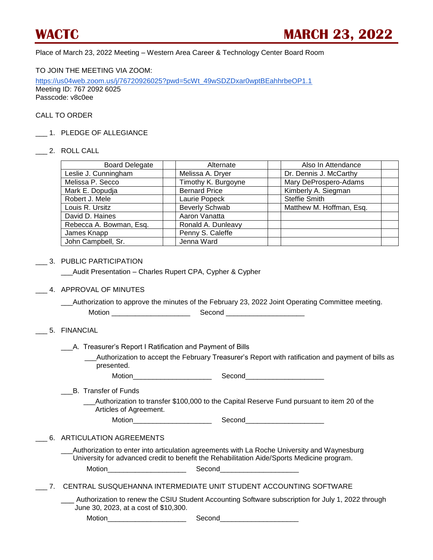Place of March 23, 2022 Meeting – Western Area Career & Technology Center Board Room

TO JOIN THE MEETING VIA ZOOM:

[https://us04web.zoom.us/j/76720926025?pwd=5cWt\\_49wSDZDxar0wptBEahhrbeOP1.1](https://us04web.zoom.us/j/76720926025?pwd=5cWt_49wSDZDxar0wptBEahhrbeOP1.1) Meeting ID: 767 2092 6025 Passcode: v8c0ee

# CALL TO ORDER

1. PLEDGE OF ALLEGIANCE

#### \_\_\_ 2. ROLL CALL

| <b>Board Delegate</b>   | Alternate             | Also In Attendance       |  |
|-------------------------|-----------------------|--------------------------|--|
| Leslie J. Cunningham    | Melissa A. Dryer      | Dr. Dennis J. McCarthy   |  |
| Melissa P. Secco        | Timothy K. Burgoyne   | Mary DeProspero-Adams    |  |
| Mark E. Dopudja         | <b>Bernard Price</b>  | Kimberly A. Siegman      |  |
| Robert J. Mele          | Laurie Popeck         | <b>Steffie Smith</b>     |  |
| Louis R. Ursitz         | <b>Beverly Schwab</b> | Matthew M. Hoffman, Esq. |  |
| David D. Haines         | Aaron Vanatta         |                          |  |
| Rebecca A. Bowman, Esq. | Ronald A. Dunleavy    |                          |  |
| James Knapp             | Penny S. Caleffe      |                          |  |
| John Campbell, Sr.      | Jenna Ward            |                          |  |

### \_\_\_ 3. PUBLIC PARTICIPATION

\_\_\_Audit Presentation – Charles Rupert CPA, Cypher & Cypher

### \_\_\_ 4. APPROVAL OF MINUTES

\_\_\_Authorization to approve the minutes of the February 23, 2022 Joint Operating Committee meeting. Motion \_\_\_\_\_\_\_\_\_\_\_\_\_\_\_\_\_\_\_\_ Second \_\_\_\_\_\_\_\_\_\_\_\_\_\_\_\_\_\_\_\_

# \_\_\_ 5. FINANCIAL

\_\_\_A. Treasurer's Report I Ratification and Payment of Bills

 \_\_\_Authorization to accept the February Treasurer's Report with ratification and payment of bills as presented.

Motion\_\_\_\_\_\_\_\_\_\_\_\_\_\_\_\_\_\_\_\_ Second\_\_\_\_\_\_\_\_\_\_\_\_\_\_\_\_\_\_\_\_

\_\_\_B. Transfer of Funds

Authorization to transfer \$100,000 to the Capital Reserve Fund pursuant to item 20 of the Articles of Agreement.

Motion\_\_\_\_\_\_\_\_\_\_\_\_\_\_\_\_\_\_\_\_ Second\_\_\_\_\_\_\_\_\_\_\_\_\_\_\_\_\_\_\_\_

### \_\_\_ 6. ARTICULATION AGREEMENTS

\_\_\_Authorization to enter into articulation agreements with La Roche University and Waynesburg University for advanced credit to benefit the Rehabilitation Aide/Sports Medicine program. Motion and the second Second

\_\_\_ 7. CENTRAL SUSQUEHANNA INTERMEDIATE UNIT STUDENT ACCOUNTING SOFTWARE

Authorization to renew the CSIU Student Accounting Software subscription for July 1, 2022 through June 30, 2023, at a cost of \$10,300.

Motion example of the Second Second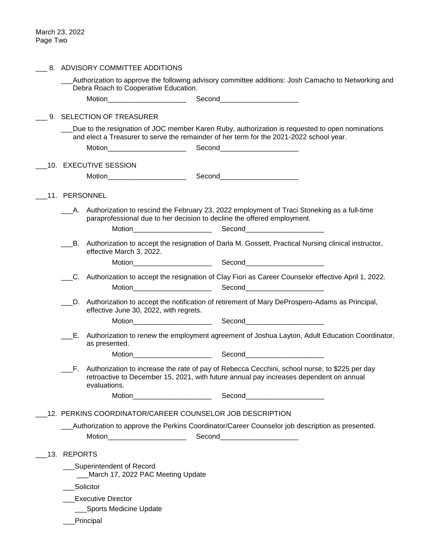| 8. ADVISORY COMMITTEE ADDITIONS                                                                |                                                                                                                                                                                                                                                                                                           |  |
|------------------------------------------------------------------------------------------------|-----------------------------------------------------------------------------------------------------------------------------------------------------------------------------------------------------------------------------------------------------------------------------------------------------------|--|
| Debra Roach to Cooperative Education.                                                          | Authorization to approve the following advisory committee additions: Josh Camacho to Networking and                                                                                                                                                                                                       |  |
| Motion__________________________                                                               | Second_______________________                                                                                                                                                                                                                                                                             |  |
| 9. SELECTION OF TREASURER                                                                      |                                                                                                                                                                                                                                                                                                           |  |
|                                                                                                | Due to the resignation of JOC member Karen Ruby, authorization is requested to open nominations<br>and elect a Treasurer to serve the remainder of her term for the 2021-2022 school year.                                                                                                                |  |
|                                                                                                |                                                                                                                                                                                                                                                                                                           |  |
| 10. EXECUTIVE SESSION                                                                          |                                                                                                                                                                                                                                                                                                           |  |
| Motion_________________________                                                                | Second<br><u>Second</u>                                                                                                                                                                                                                                                                                   |  |
| 11. PERSONNEL                                                                                  |                                                                                                                                                                                                                                                                                                           |  |
| A. Authorization to rescind the February 23, 2022 employment of Traci Stoneking as a full-time |                                                                                                                                                                                                                                                                                                           |  |
| paraprofessional due to her decision to decline the offered employment.                        |                                                                                                                                                                                                                                                                                                           |  |
|                                                                                                |                                                                                                                                                                                                                                                                                                           |  |
| effective March 3, 2022.                                                                       | B. Authorization to accept the resignation of Darla M. Gossett, Practical Nursing clinical instructor,                                                                                                                                                                                                    |  |
|                                                                                                |                                                                                                                                                                                                                                                                                                           |  |
|                                                                                                | C. Authorization to accept the resignation of Clay Fiori as Career Counselor effective April 1, 2022.                                                                                                                                                                                                     |  |
| Motion_______________________                                                                  | Second________________________                                                                                                                                                                                                                                                                            |  |
| effective June 30, 2022, with regrets.                                                         | D. Authorization to accept the notification of retirement of Mary DeProspero-Adams as Principal,                                                                                                                                                                                                          |  |
|                                                                                                |                                                                                                                                                                                                                                                                                                           |  |
| as presented.                                                                                  | E. Authorization to renew the employment agreement of Joshua Layton, Adult Education Coordinator,                                                                                                                                                                                                         |  |
| Motion_______________________                                                                  | Second <b>Executive Second</b>                                                                                                                                                                                                                                                                            |  |
| evaluations.                                                                                   | F. Authorization to increase the rate of pay of Rebecca Cecchini, school nurse, to \$225 per day<br>retroactive to December 15, 2021, with future annual pay increases dependent on annual                                                                                                                |  |
| Motion________________________                                                                 | Second<br><u>Second</u><br>Second<br>Second<br>Second<br>Second<br>Second<br>Second<br>Second<br>Second<br>Second<br>Second<br>Second<br>Second<br>Second<br>Second<br>Second<br>Second<br>Second<br>Second<br>Second<br>Second<br>Second<br>Second<br>Second<br>Second<br>Second<br><br><br><br><br><br> |  |
| 12. PERKINS COORDINATOR/CAREER COUNSELOR JOB DESCRIPTION                                       |                                                                                                                                                                                                                                                                                                           |  |
|                                                                                                | Authorization to approve the Perkins Coordinator/Career Counselor job description as presented.                                                                                                                                                                                                           |  |
| Motion_________________________                                                                | Second______________________                                                                                                                                                                                                                                                                              |  |
| 13. REPORTS                                                                                    |                                                                                                                                                                                                                                                                                                           |  |
| Superintendent of Record                                                                       |                                                                                                                                                                                                                                                                                                           |  |
| March 17, 2022 PAC Meeting Update                                                              |                                                                                                                                                                                                                                                                                                           |  |
| Solicitor                                                                                      |                                                                                                                                                                                                                                                                                                           |  |
| <b>Executive Director</b>                                                                      |                                                                                                                                                                                                                                                                                                           |  |
| ___Sports Medicine Update                                                                      |                                                                                                                                                                                                                                                                                                           |  |
| Principal                                                                                      |                                                                                                                                                                                                                                                                                                           |  |